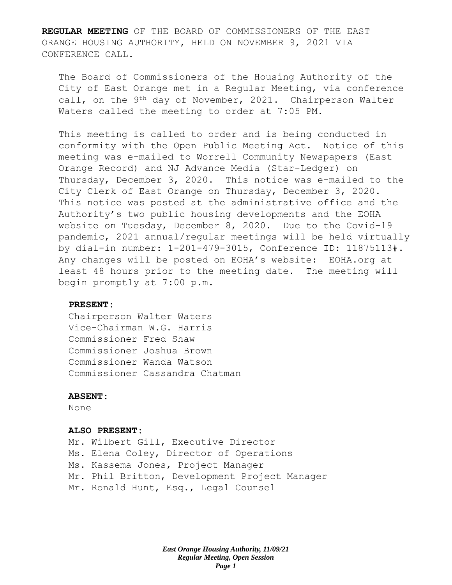**REGULAR MEETING** OF THE BOARD OF COMMISSIONERS OF THE EAST ORANGE HOUSING AUTHORITY, HELD ON NOVEMBER 9, 2021 VIA CONFERENCE CALL.

The Board of Commissioners of the Housing Authority of the City of East Orange met in a Regular Meeting, via conference call, on the 9<sup>th</sup> day of November, 2021. Chairperson Walter Waters called the meeting to order at 7:05 PM.

This meeting is called to order and is being conducted in conformity with the Open Public Meeting Act. Notice of this meeting was e-mailed to Worrell Community Newspapers (East Orange Record) and NJ Advance Media (Star-Ledger) on Thursday, December 3, 2020. This notice was e-mailed to the City Clerk of East Orange on Thursday, December 3, 2020. This notice was posted at the administrative office and the Authority's two public housing developments and the EOHA website on Tuesday, December 8, 2020. Due to the Covid-19 pandemic, 2021 annual/regular meetings will be held virtually by dial-in number: 1-201-479-3015, Conference ID: 11875113#. Any changes will be posted on EOHA's website: EOHA.org at least 48 hours prior to the meeting date. The meeting will begin promptly at 7:00 p.m.

#### **PRESENT:**

Chairperson Walter Waters Vice-Chairman W.G. Harris Commissioner Fred Shaw Commissioner Joshua Brown Commissioner Wanda Watson Commissioner Cassandra Chatman

#### **ABSENT:**

None

#### **ALSO PRESENT:**

Mr. Wilbert Gill, Executive Director Ms. Elena Coley, Director of Operations Ms. Kassema Jones, Project Manager Mr. Phil Britton, Development Project Manager Mr. Ronald Hunt, Esq., Legal Counsel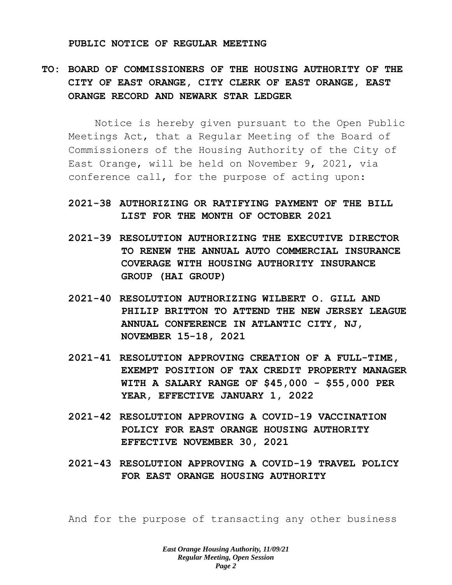#### **PUBLIC NOTICE OF REGULAR MEETING**

# **TO: BOARD OF COMMISSIONERS OF THE HOUSING AUTHORITY OF THE CITY OF EAST ORANGE, CITY CLERK OF EAST ORANGE, EAST ORANGE RECORD AND NEWARK STAR LEDGER**

Notice is hereby given pursuant to the Open Public Meetings Act, that a Regular Meeting of the Board of Commissioners of the Housing Authority of the City of East Orange, will be held on November 9, 2021, via conference call, for the purpose of acting upon:

## **2021-38 AUTHORIZING OR RATIFYING PAYMENT OF THE BILL LIST FOR THE MONTH OF OCTOBER 2021**

- **2021-39 RESOLUTION AUTHORIZING THE EXECUTIVE DIRECTOR TO RENEW THE ANNUAL AUTO COMMERCIAL INSURANCE COVERAGE WITH HOUSING AUTHORITY INSURANCE GROUP (HAI GROUP)**
- **2021-40 RESOLUTION AUTHORIZING WILBERT O. GILL AND PHILIP BRITTON TO ATTEND THE NEW JERSEY LEAGUE ANNUAL CONFERENCE IN ATLANTIC CITY, NJ, NOVEMBER 15-18, 2021**
- **2021-41 RESOLUTION APPROVING CREATION OF A FULL-TIME, EXEMPT POSITION OF TAX CREDIT PROPERTY MANAGER WITH A SALARY RANGE OF \$45,000 - \$55,000 PER YEAR, EFFECTIVE JANUARY 1, 2022**
- **2021-42 RESOLUTION APPROVING A COVID-19 VACCINATION POLICY FOR EAST ORANGE HOUSING AUTHORITY EFFECTIVE NOVEMBER 30, 2021**
- **2021-43 RESOLUTION APPROVING A COVID-19 TRAVEL POLICY FOR EAST ORANGE HOUSING AUTHORITY**

And for the purpose of transacting any other business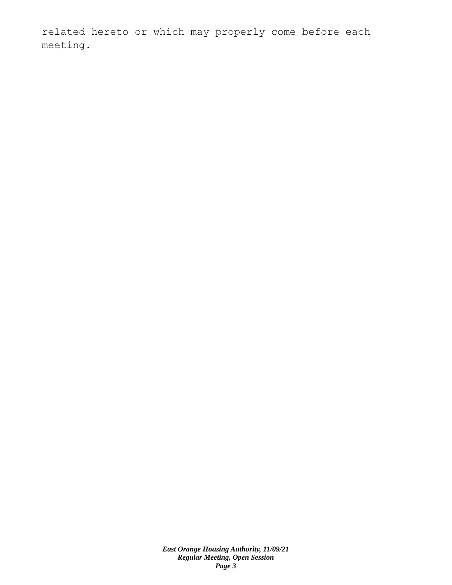related hereto or which may properly come before each meeting.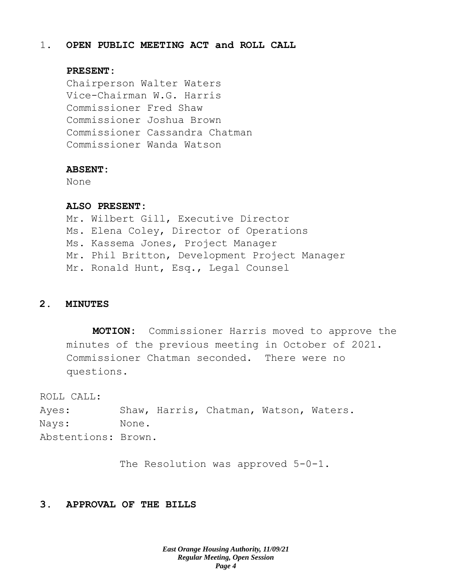## 1. **OPEN PUBLIC MEETING ACT and ROLL CALL**

### **PRESENT:**

Chairperson Walter Waters Vice-Chairman W.G. Harris Commissioner Fred Shaw Commissioner Joshua Brown Commissioner Cassandra Chatman Commissioner Wanda Watson

#### **ABSENT:**

None

## **ALSO PRESENT:**

Mr. Wilbert Gill, Executive Director Ms. Elena Coley, Director of Operations Ms. Kassema Jones, Project Manager Mr. Phil Britton, Development Project Manager Mr. Ronald Hunt, Esq., Legal Counsel

## **2. MINUTES**

**MOTION:** Commissioner Harris moved to approve the minutes of the previous meeting in October of 2021. Commissioner Chatman seconded. There were no questions.

ROLL CALL:

Ayes: Shaw, Harris, Chatman, Watson, Waters. Nays: None. Abstentions: Brown.

The Resolution was approved 5-0-1.

## **3. APPROVAL OF THE BILLS**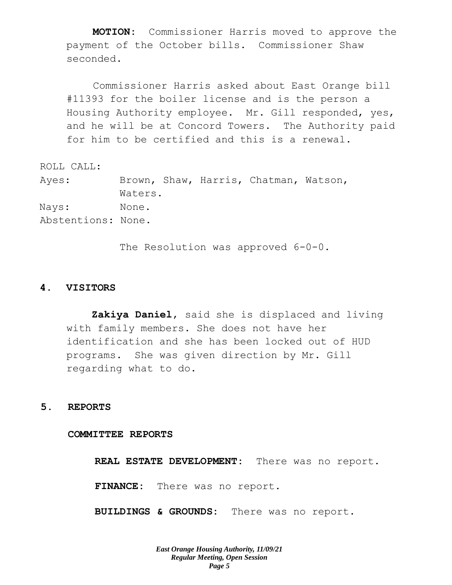**MOTION:** Commissioner Harris moved to approve the payment of the October bills. Commissioner Shaw seconded.

Commissioner Harris asked about East Orange bill #11393 for the boiler license and is the person a Housing Authority employee. Mr. Gill responded, yes, and he will be at Concord Towers. The Authority paid for him to be certified and this is a renewal.

ROLL CALL: Ayes: Brown, Shaw, Harris, Chatman, Watson, Waters. Nays: None. Abstentions: None.

The Resolution was approved 6-0-0.

### **4. VISITORS**

**Zakiya Daniel**, said she is displaced and living with family members. She does not have her identification and she has been locked out of HUD programs. She was given direction by Mr. Gill regarding what to do.

## **5. REPORTS**

#### **COMMITTEE REPORTS**

**REAL ESTATE DEVELOPMENT:** There was no report.

**FINANCE:** There was no report.

**BUILDINGS & GROUNDS:** There was no report.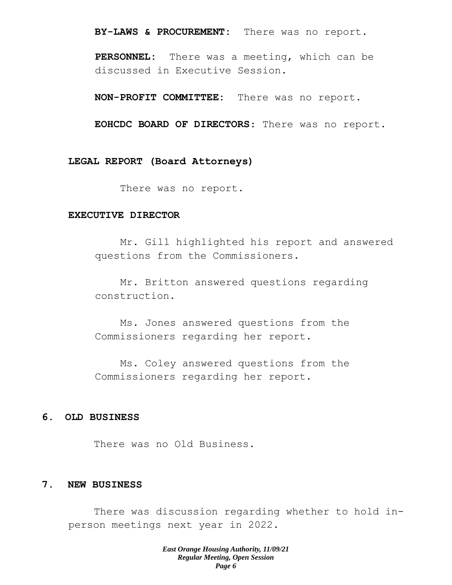**BY-LAWS & PROCUREMENT:** There was no report.

**PERSONNEL:** There was a meeting, which can be discussed in Executive Session.

**NON-PROFIT COMMITTEE:** There was no report.

**EOHCDC BOARD OF DIRECTORS**: There was no report.

**LEGAL REPORT (Board Attorneys)**

There was no report.

### **EXECUTIVE DIRECTOR**

Mr. Gill highlighted his report and answered questions from the Commissioners.

Mr. Britton answered questions regarding construction.

Ms. Jones answered questions from the Commissioners regarding her report.

Ms. Coley answered questions from the Commissioners regarding her report.

## **6. OLD BUSINESS**

There was no Old Business.

### **7. NEW BUSINESS**

There was discussion regarding whether to hold inperson meetings next year in 2022.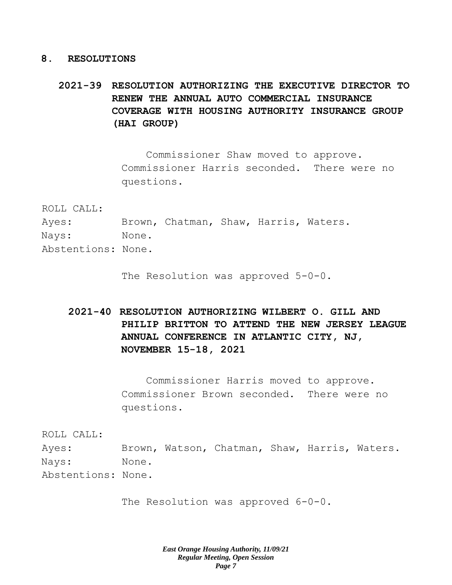### **8. RESOLUTIONS**

# **2021-39 RESOLUTION AUTHORIZING THE EXECUTIVE DIRECTOR TO RENEW THE ANNUAL AUTO COMMERCIAL INSURANCE COVERAGE WITH HOUSING AUTHORITY INSURANCE GROUP (HAI GROUP)**

Commissioner Shaw moved to approve. Commissioner Harris seconded. There were no questions.

ROLL CALL:

| Ayes:              |       | Brown, Chatman, Shaw, Harris, Waters. |  |  |
|--------------------|-------|---------------------------------------|--|--|
| Nays:              | None. |                                       |  |  |
| Abstentions: None. |       |                                       |  |  |

The Resolution was approved 5-0-0.

# **2021-40 RESOLUTION AUTHORIZING WILBERT O. GILL AND PHILIP BRITTON TO ATTEND THE NEW JERSEY LEAGUE ANNUAL CONFERENCE IN ATLANTIC CITY, NJ, NOVEMBER 15-18, 2021**

Commissioner Harris moved to approve. Commissioner Brown seconded. There were no questions.

ROLL CALL:

Ayes: Brown, Watson, Chatman, Shaw, Harris, Waters. Nays: None. Abstentions: None.

The Resolution was approved 6-0-0.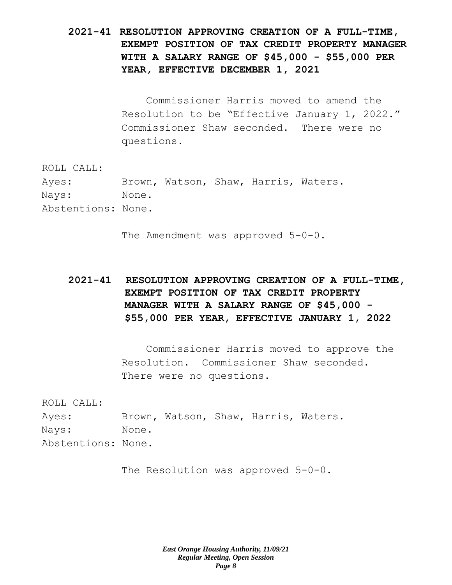# **2021-41 RESOLUTION APPROVING CREATION OF A FULL-TIME, EXEMPT POSITION OF TAX CREDIT PROPERTY MANAGER WITH A SALARY RANGE OF \$45,000 - \$55,000 PER YEAR, EFFECTIVE DECEMBER 1, 2021**

Commissioner Harris moved to amend the Resolution to be "Effective January 1, 2022." Commissioner Shaw seconded. There were no questions.

ROLL CALL:

Ayes: Brown, Watson, Shaw, Harris, Waters. Nays: None. Abstentions: None.

The Amendment was approved 5-0-0.

**2021-41 RESOLUTION APPROVING CREATION OF A FULL-TIME, EXEMPT POSITION OF TAX CREDIT PROPERTY MANAGER WITH A SALARY RANGE OF \$45,000 - \$55,000 PER YEAR, EFFECTIVE JANUARY 1, 2022**

> Commissioner Harris moved to approve the Resolution. Commissioner Shaw seconded. There were no questions.

ROLL CALL:

| Ayes:              |       |  | Brown, Watson, Shaw, Harris, Waters. |  |
|--------------------|-------|--|--------------------------------------|--|
| Nays:              | None. |  |                                      |  |
| Abstentions: None. |       |  |                                      |  |

The Resolution was approved 5-0-0.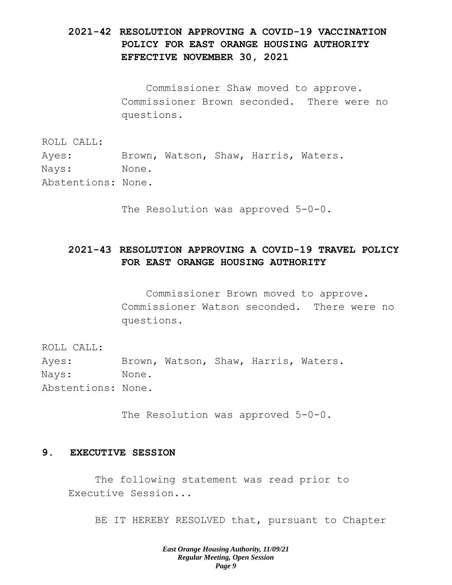# **2021-42 RESOLUTION APPROVING A COVID-19 VACCINATION POLICY FOR EAST ORANGE HOUSING AUTHORITY EFFECTIVE NOVEMBER 30, 2021**

Commissioner Shaw moved to approve. Commissioner Brown seconded. There were no questions.

ROLL CALL:

Ayes: Brown, Watson, Shaw, Harris, Waters. Nays: None.

Abstentions: None.

The Resolution was approved 5-0-0.

## **2021-43 RESOLUTION APPROVING A COVID-19 TRAVEL POLICY FOR EAST ORANGE HOUSING AUTHORITY**

Commissioner Brown moved to approve. Commissioner Watson seconded. There were no questions.

ROLL CALL: Ayes: Brown, Watson, Shaw, Harris, Waters. Nays: None. Abstentions: None.

The Resolution was approved 5-0-0.

### **9. EXECUTIVE SESSION**

The following statement was read prior to Executive Session...

BE IT HEREBY RESOLVED that, pursuant to Chapter